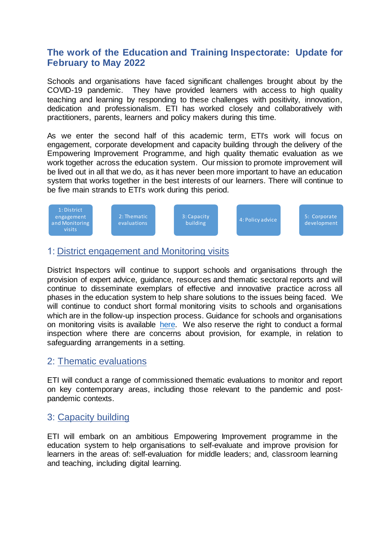# **The work of the Education and Training Inspectorate: Update for February to May 2022**

Schools and organisations have faced significant challenges brought about by the COVID-19 pandemic. They have provided learners with access to high quality teaching and learning by responding to these challenges with positivity, innovation, dedication and professionalism. ETI has worked closely and collaboratively with practitioners, parents, learners and policy makers during this time.

As we enter the second half of this academic term, ETI's work will focus on engagement, corporate development and capacity building through the delivery of the Empowering Improvement Programme, and high quality thematic evaluation as we work together across the education system. Our mission to promote improvement will be lived out in all that we do, as it has never been more important to have an education system that works together in the best interests of our learners. There will continue to be five main strands to ETI's work during this period.



#### 1: District engagement and Monitoring visits

District Inspectors will continue to support schools and organisations through the provision of expert advice, guidance, resources and thematic sectoral reports and will continue to disseminate exemplars of effective and innovative practice across all phases in the education system to help share solutions to the issues being faced. We will continue to conduct short formal monitoring visits to schools and organisations which are in the follow-up inspection process. Guidance for schools and organisations on monitoring visits is available [here.](https://www.etini.gov.uk/publications/guidance-monitoring-visits) We also reserve the right to conduct a formal inspection where there are concerns about provision, for example, in relation to safeguarding arrangements in a setting.

## 2: Thematic evaluations

ETI will conduct a range of commissioned thematic evaluations to monitor and report on key contemporary areas, including those relevant to the pandemic and postpandemic contexts.

## 3: Capacity building

ETI will embark on an ambitious Empowering Improvement programme in the education system to help organisations to self-evaluate and improve provision for learners in the areas of: self-evaluation for middle leaders; and, classroom learning and teaching, including digital learning.